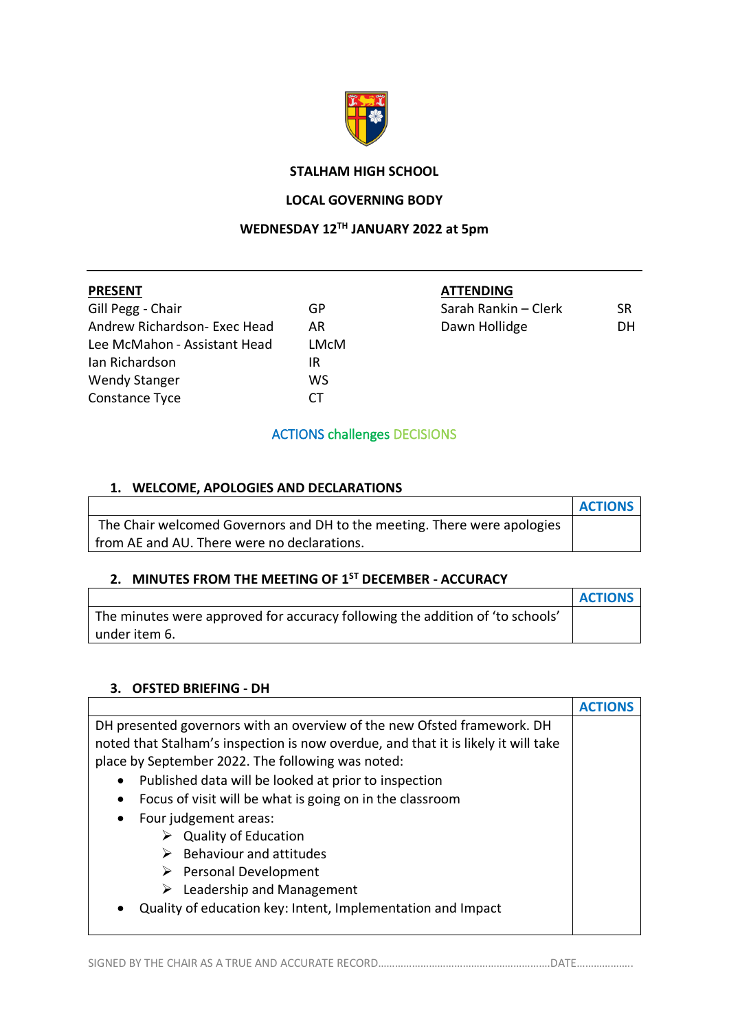

### **STALHAM HIGH SCHOOL**

#### **LOCAL GOVERNING BODY**

### **WEDNESDAY 12TH JANUARY 2022 at 5pm**

| <b>PRESENT</b>               |      |
|------------------------------|------|
| Gill Pegg - Chair            | GP   |
| Andrew Richardson- Exec Head | AR   |
| Lee McMahon - Assistant Head | LMcM |
| Ian Richardson               | IR   |
| <b>Wendy Stanger</b>         | ws   |

Constance Tyce CT

**PRESENT ATTENDING**

| Gill Pegg - Chair            | GP                      | Sarah Rankin – Clerk | SR. |
|------------------------------|-------------------------|----------------------|-----|
| Andrew Richardson- Exec Head |                         | Dawn Hollidge        | DH  |
| lee Mandelese Assistant Used | N <i>A</i> _ N <i>A</i> |                      |     |

#### ACTIONS challenges DECISIONS

# **1. WELCOME, APOLOGIES AND DECLARATIONS**

|                                                                          | <b>ACTIONS</b> |
|--------------------------------------------------------------------------|----------------|
| The Chair welcomed Governors and DH to the meeting. There were apologies |                |
| from AE and AU. There were no declarations.                              |                |

# **2. MINUTES FROM THE MEETING OF 1ST DECEMBER - ACCURACY**

|                                                                               | <b>ACTIONS</b> |
|-------------------------------------------------------------------------------|----------------|
| The minutes were approved for accuracy following the addition of 'to schools' |                |
| under item 6.                                                                 |                |

#### **3. OFSTED BRIEFING - DH**

| DH presented governors with an overview of the new Ofsted framework. DH            |  |
|------------------------------------------------------------------------------------|--|
| noted that Stalham's inspection is now overdue, and that it is likely it will take |  |
| place by September 2022. The following was noted:                                  |  |
| Published data will be looked at prior to inspection<br>٠                          |  |
| Focus of visit will be what is going on in the classroom<br>$\bullet$              |  |
| Four judgement areas:<br>$\bullet$                                                 |  |
| <b>Quality of Education</b>                                                        |  |
| <b>Behaviour and attitudes</b>                                                     |  |
| $\triangleright$ Personal Development                                              |  |
| Leadership and Management<br>➤                                                     |  |
| Quality of education key: Intent, Implementation and Impact<br>$\bullet$           |  |
|                                                                                    |  |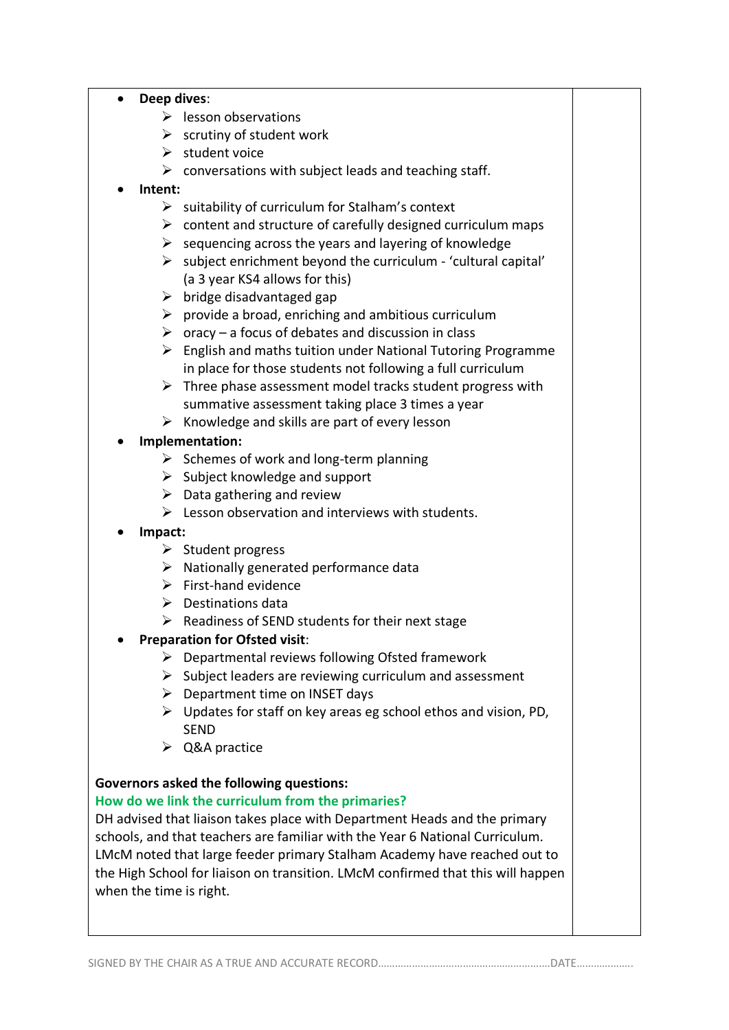#### • **Deep dives**:

- $\triangleright$  lesson observations
- $\triangleright$  scrutiny of student work
- $\triangleright$  student voice
- $\triangleright$  conversations with subject leads and teaching staff.
- **Intent:**
	- $\triangleright$  suitability of curriculum for Stalham's context
	- $\triangleright$  content and structure of carefully designed curriculum maps
	- $\triangleright$  sequencing across the years and layering of knowledge
	- $\triangleright$  subject enrichment beyond the curriculum 'cultural capital' (a 3 year KS4 allows for this)
	- $\triangleright$  bridge disadvantaged gap
	- $\triangleright$  provide a broad, enriching and ambitious curriculum
	- $\triangleright$  oracy a focus of debates and discussion in class
	- $\triangleright$  English and maths tuition under National Tutoring Programme in place for those students not following a full curriculum
	- $\triangleright$  Three phase assessment model tracks student progress with summative assessment taking place 3 times a year
	- $\triangleright$  Knowledge and skills are part of every lesson

### • **Implementation:**

- $\triangleright$  Schemes of work and long-term planning
- $\triangleright$  Subject knowledge and support
- $\triangleright$  Data gathering and review
- $\triangleright$  Lesson observation and interviews with students.
- **Impact:**
	- ➢ Student progress
	- ➢ Nationally generated performance data
	- $\triangleright$  First-hand evidence
	- ➢ Destinations data
	- $\triangleright$  Readiness of SEND students for their next stage

### • **Preparation for Ofsted visit**:

- $\triangleright$  Departmental reviews following Ofsted framework
- $\triangleright$  Subject leaders are reviewing curriculum and assessment
- $\triangleright$  Department time on INSET days
- $\triangleright$  Updates for staff on key areas eg school ethos and vision, PD, SEND
- ➢ Q&A practice

### **Governors asked the following questions:**

#### **How do we link the curriculum from the primaries?**

DH advised that liaison takes place with Department Heads and the primary schools, and that teachers are familiar with the Year 6 National Curriculum. LMcM noted that large feeder primary Stalham Academy have reached out to the High School for liaison on transition. LMcM confirmed that this will happen when the time is right.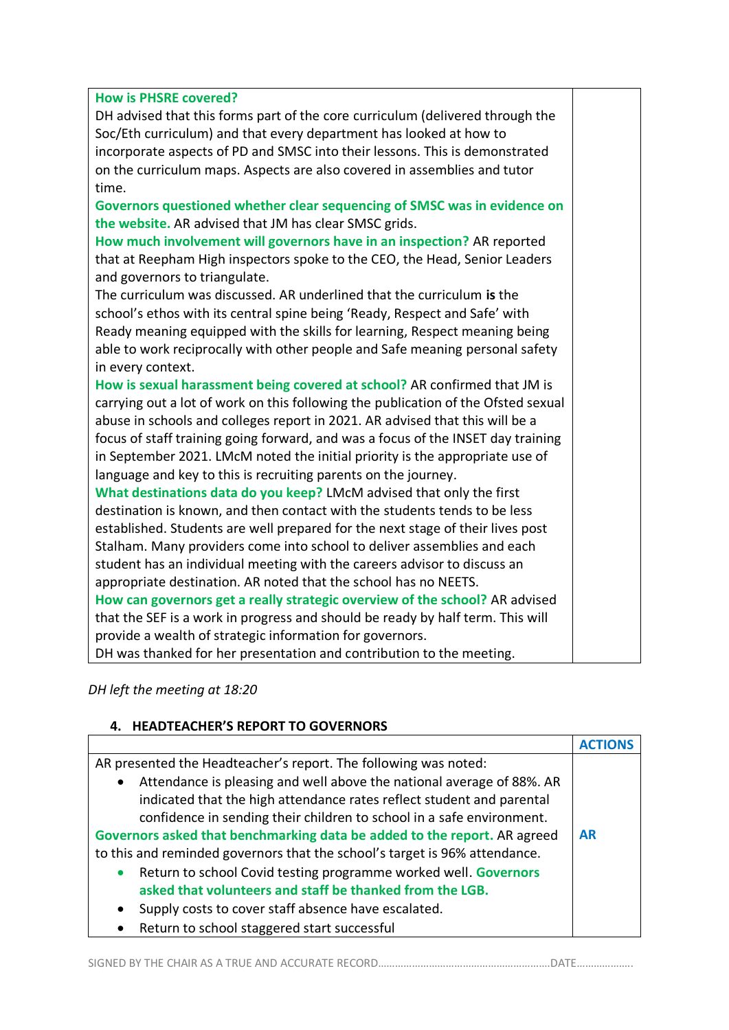#### **How is PHSRE covered?**

DH advised that this forms part of the core curriculum (delivered through the Soc/Eth curriculum) and that every department has looked at how to incorporate aspects of PD and SMSC into their lessons. This is demonstrated on the curriculum maps. Aspects are also covered in assemblies and tutor time.

**Governors questioned whether clear sequencing of SMSC was in evidence on the website.** AR advised that JM has clear SMSC grids.

**How much involvement will governors have in an inspection?** AR reported that at Reepham High inspectors spoke to the CEO, the Head, Senior Leaders and governors to triangulate.

The curriculum was discussed. AR underlined that the curriculum **is** the school's ethos with its central spine being 'Ready, Respect and Safe' with Ready meaning equipped with the skills for learning, Respect meaning being able to work reciprocally with other people and Safe meaning personal safety in every context.

**How is sexual harassment being covered at school?** AR confirmed that JM is carrying out a lot of work on this following the publication of the Ofsted sexual abuse in schools and colleges report in 2021. AR advised that this will be a focus of staff training going forward, and was a focus of the INSET day training in September 2021. LMcM noted the initial priority is the appropriate use of language and key to this is recruiting parents on the journey.

**What destinations data do you keep?** LMcM advised that only the first destination is known, and then contact with the students tends to be less established. Students are well prepared for the next stage of their lives post Stalham. Many providers come into school to deliver assemblies and each student has an individual meeting with the careers advisor to discuss an appropriate destination. AR noted that the school has no NEETS. **How can governors get a really strategic overview of the school?** AR advised that the SEF is a work in progress and should be ready by half term. This will provide a wealth of strategic information for governors. DH was thanked for her presentation and contribution to the meeting.

*DH left the meeting at 18:20*

#### **4. HEADTEACHER'S REPORT TO GOVERNORS**

| AR presented the Headteacher's report. The following was noted:                    |           |
|------------------------------------------------------------------------------------|-----------|
| Attendance is pleasing and well above the national average of 88%. AR<br>$\bullet$ |           |
| indicated that the high attendance rates reflect student and parental              |           |
| confidence in sending their children to school in a safe environment.              |           |
| Governors asked that benchmarking data be added to the report. AR agreed           | <b>AR</b> |
| to this and reminded governors that the school's target is 96% attendance.         |           |
| Return to school Covid testing programme worked well. Governors<br>$\bullet$       |           |
| asked that volunteers and staff be thanked from the LGB.                           |           |
| Supply costs to cover staff absence have escalated.<br>$\bullet$                   |           |
| Return to school staggered start successful<br>$\bullet$                           |           |